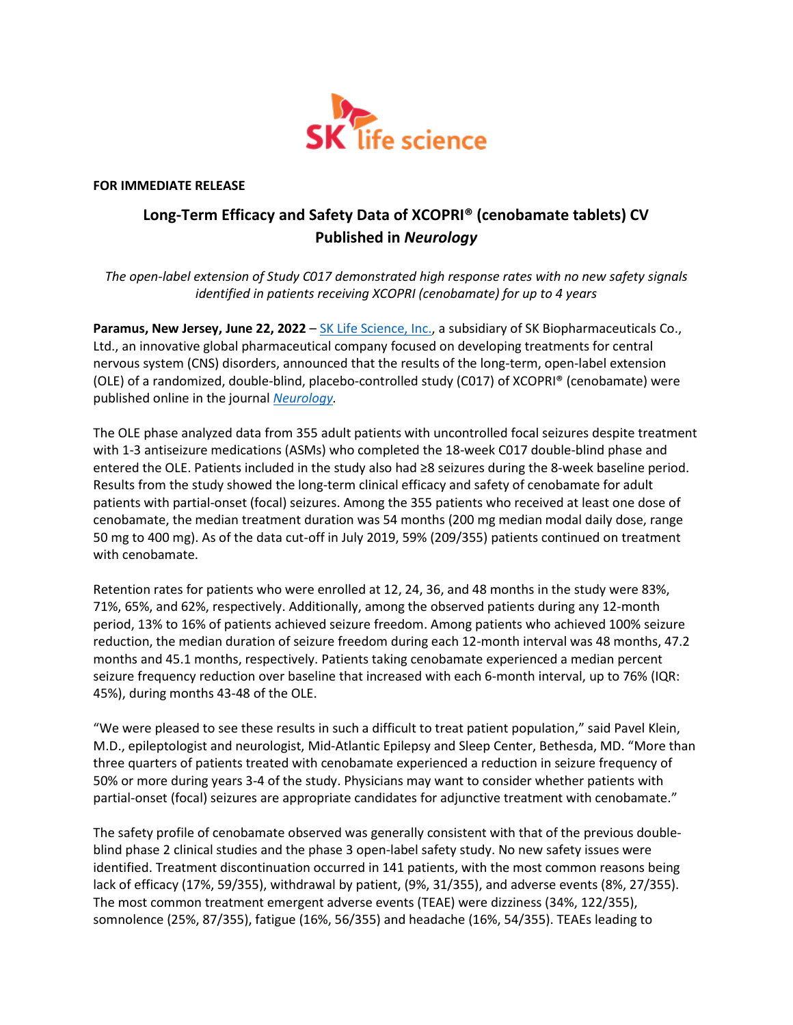

**FOR IMMEDIATE RELEASE**

# **Long-Term Efficacy and Safety Data of XCOPRI® (cenobamate tablets) CV Published in** *Neurology*

*The open-label extension of Study C017 demonstrated high response rates with no new safety signals identified in patients receiving XCOPRI (cenobamate) for up to 4 years*

**Paramus, New Jersey, June 22, 2022** – [SK Life Science, Inc.,](https://www.sklifescienceinc.com/) a subsidiary of SK Biopharmaceuticals Co., Ltd., an innovative global pharmaceutical company focused on developing treatments for central nervous system (CNS) disorders, announced that the results of the long-term, open-label extension (OLE) of a randomized, double-blind, placebo-controlled study (C017) of XCOPRI® (cenobamate) were published online in the journal *[Neurology.](https://n.neurology.org/content/early/2022/06/15/WNL.0000000000200792)*

The OLE phase analyzed data from 355 adult patients with uncontrolled focal seizures despite treatment with 1-3 antiseizure medications (ASMs) who completed the 18-week C017 double-blind phase and entered the OLE. Patients included in the study also had ≥8 seizures during the 8-week baseline period. Results from the study showed the long-term clinical efficacy and safety of cenobamate for adult patients with partial-onset (focal) seizures. Among the 355 patients who received at least one dose of cenobamate, the median treatment duration was 54 months (200 mg median modal daily dose, range 50 mg to 400 mg). As of the data cut-off in July 2019, 59% (209/355) patients continued on treatment with cenobamate.

Retention rates for patients who were enrolled at 12, 24, 36, and 48 months in the study were 83%, 71%, 65%, and 62%, respectively. Additionally, among the observed patients during any 12-month period, 13% to 16% of patients achieved seizure freedom. Among patients who achieved 100% seizure reduction, the median duration of seizure freedom during each 12-month interval was 48 months, 47.2 months and 45.1 months, respectively. Patients taking cenobamate experienced a median percent seizure frequency reduction over baseline that increased with each 6-month interval, up to 76% (IQR: 45%), during months 43-48 of the OLE.

"We were pleased to see these results in such a difficult to treat patient population," said Pavel Klein, M.D., epileptologist and neurologist, Mid-Atlantic Epilepsy and Sleep Center, Bethesda, MD. "More than three quarters of patients treated with cenobamate experienced a reduction in seizure frequency of 50% or more during years 3-4 of the study. Physicians may want to consider whether patients with partial-onset (focal) seizures are appropriate candidates for adjunctive treatment with cenobamate."

The safety profile of cenobamate observed was generally consistent with that of the previous doubleblind phase 2 clinical studies and the phase 3 open-label safety study. No new safety issues were identified. Treatment discontinuation occurred in 141 patients, with the most common reasons being lack of efficacy (17%, 59/355), withdrawal by patient, (9%, 31/355), and adverse events (8%, 27/355). The most common treatment emergent adverse events (TEAE) were dizziness (34%, 122/355), somnolence (25%, 87/355), fatigue (16%, 56/355) and headache (16%, 54/355). TEAEs leading to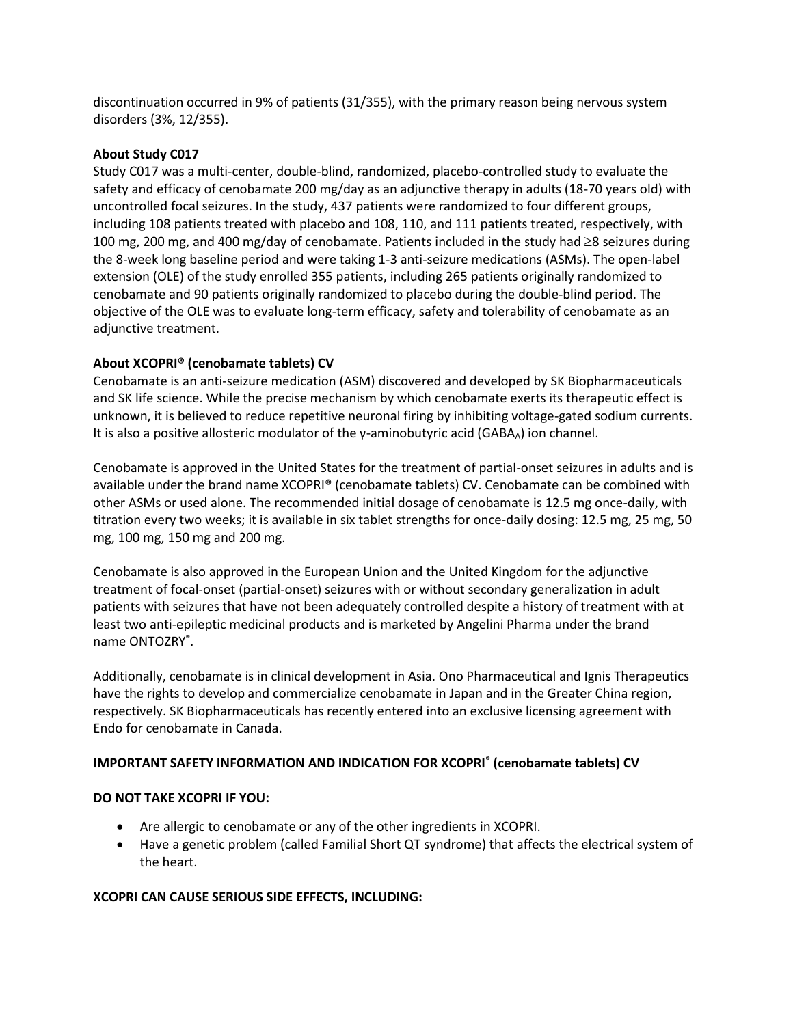discontinuation occurred in 9% of patients (31/355), with the primary reason being nervous system disorders (3%, 12/355).

#### **About Study C017**

Study C017 was a multi-center, double-blind, randomized, placebo-controlled study to evaluate the safety and efficacy of cenobamate 200 mg/day as an adjunctive therapy in adults (18-70 years old) with uncontrolled focal seizures. In the study, 437 patients were randomized to four different groups, including 108 patients treated with placebo and 108, 110, and 111 patients treated, respectively, with 100 mg, 200 mg, and 400 mg/day of cenobamate. Patients included in the study had  $\geq$ 8 seizures during the 8-week long baseline period and were taking 1-3 anti-seizure medications (ASMs). The open-label extension (OLE) of the study enrolled 355 patients, including 265 patients originally randomized to cenobamate and 90 patients originally randomized to placebo during the double-blind period. The objective of the OLE was to evaluate long-term efficacy, safety and tolerability of cenobamate as an adjunctive treatment.

## **About XCOPRI® (cenobamate tablets) CV**

Cenobamate is an anti-seizure medication (ASM) discovered and developed by SK Biopharmaceuticals and SK life science. While the precise mechanism by which cenobamate exerts its therapeutic effect is unknown, it is believed to reduce repetitive neuronal firing by inhibiting voltage-gated sodium currents. It is also a positive allosteric modulator of the γ-aminobutyric acid (GABAA) ion channel.  

Cenobamate is approved in the United States for the treatment of partial-onset seizures in adults and is available under the brand name XCOPRI® (cenobamate tablets) CV. Cenobamate can be combined with other ASMs or used alone. The recommended initial dosage of cenobamate is 12.5 mg once-daily, with titration every two weeks; it is available in six tablet strengths for once-daily dosing: 12.5 mg, 25 mg, 50 mg, 100 mg, 150 mg and 200 mg.

Cenobamate is also approved in the European Union and the United Kingdom for the adjunctive treatment of focal-onset (partial-onset) seizures with or without secondary generalization in adult patients with seizures that have not been adequately controlled despite a history of treatment with at least two anti-epileptic medicinal products and is marketed by Angelini Pharma under the brand name ONTOZRY<sup>®</sup>.

Additionally, cenobamate is in clinical development in Asia. Ono Pharmaceutical and Ignis Therapeutics have the rights to develop and commercialize cenobamate in Japan and in the Greater China region, respectively. SK Biopharmaceuticals has recently entered into an exclusive licensing agreement with Endo for cenobamate in Canada.

# **IMPORTANT SAFETY INFORMATION AND INDICATION FOR XCOPRI® (cenobamate tablets) CV**

## **DO NOT TAKE XCOPRI IF YOU:**

- Are allergic to cenobamate or any of the other ingredients in XCOPRI.
- Have a genetic problem (called Familial Short QT syndrome) that affects the electrical system of the heart.

## **XCOPRI CAN CAUSE SERIOUS SIDE EFFECTS, INCLUDING:**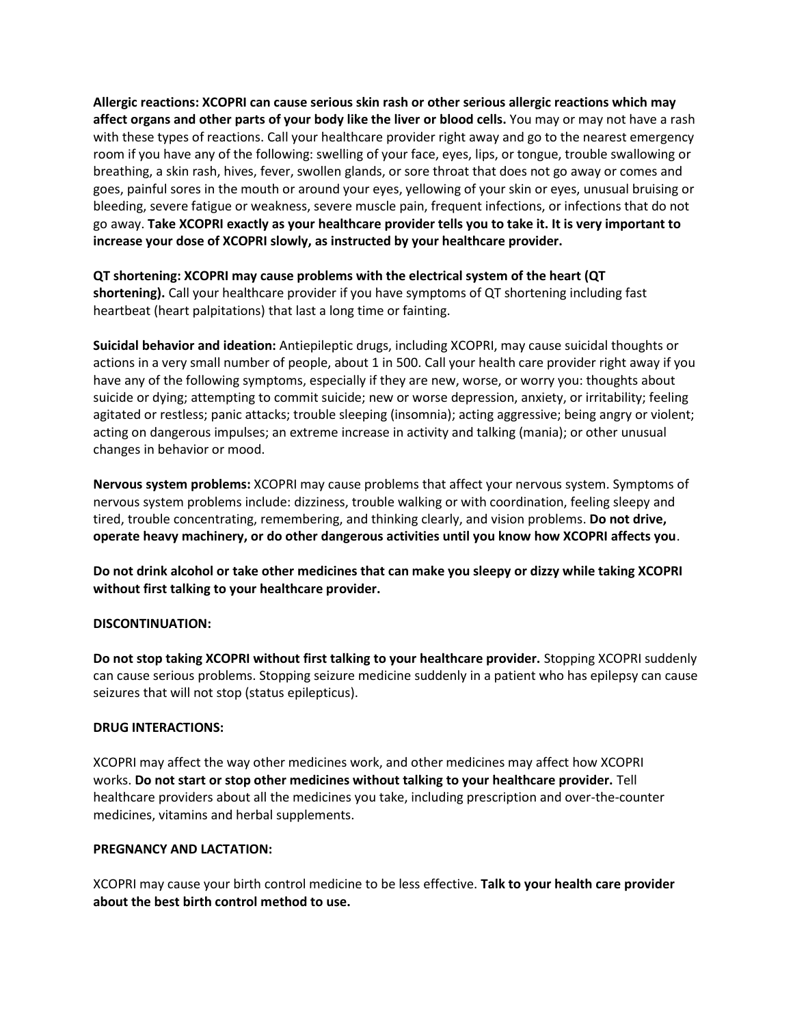**Allergic reactions: XCOPRI can cause serious skin rash or other serious allergic reactions which may affect organs and other parts of your body like the liver or blood cells.** You may or may not have a rash with these types of reactions. Call your healthcare provider right away and go to the nearest emergency room if you have any of the following: swelling of your face, eyes, lips, or tongue, trouble swallowing or breathing, a skin rash, hives, fever, swollen glands, or sore throat that does not go away or comes and goes, painful sores in the mouth or around your eyes, yellowing of your skin or eyes, unusual bruising or bleeding, severe fatigue or weakness, severe muscle pain, frequent infections, or infections that do not go away. **Take XCOPRI exactly as your healthcare provider tells you to take it. It is very important to increase your dose of XCOPRI slowly, as instructed by your healthcare provider.**

**QT shortening: XCOPRI may cause problems with the electrical system of the heart (QT shortening).** Call your healthcare provider if you have symptoms of QT shortening including fast heartbeat (heart palpitations) that last a long time or fainting.

**Suicidal behavior and ideation:** Antiepileptic drugs, including XCOPRI, may cause suicidal thoughts or actions in a very small number of people, about 1 in 500. Call your health care provider right away if you have any of the following symptoms, especially if they are new, worse, or worry you: thoughts about suicide or dying; attempting to commit suicide; new or worse depression, anxiety, or irritability; feeling agitated or restless; panic attacks; trouble sleeping (insomnia); acting aggressive; being angry or violent; acting on dangerous impulses; an extreme increase in activity and talking (mania); or other unusual changes in behavior or mood.

**Nervous system problems:** XCOPRI may cause problems that affect your nervous system. Symptoms of nervous system problems include: dizziness, trouble walking or with coordination, feeling sleepy and tired, trouble concentrating, remembering, and thinking clearly, and vision problems. **Do not drive, operate heavy machinery, or do other dangerous activities until you know how XCOPRI affects you**.

**Do not drink alcohol or take other medicines that can make you sleepy or dizzy while taking XCOPRI without first talking to your healthcare provider.**

## **DISCONTINUATION:**

**Do not stop taking XCOPRI without first talking to your healthcare provider.** Stopping XCOPRI suddenly can cause serious problems. Stopping seizure medicine suddenly in a patient who has epilepsy can cause seizures that will not stop (status epilepticus).

#### **DRUG INTERACTIONS:**

XCOPRI may affect the way other medicines work, and other medicines may affect how XCOPRI works. **Do not start or stop other medicines without talking to your healthcare provider.** Tell healthcare providers about all the medicines you take, including prescription and over-the-counter medicines, vitamins and herbal supplements.

#### **PREGNANCY AND LACTATION:**

XCOPRI may cause your birth control medicine to be less effective. **Talk to your health care provider about the best birth control method to use.**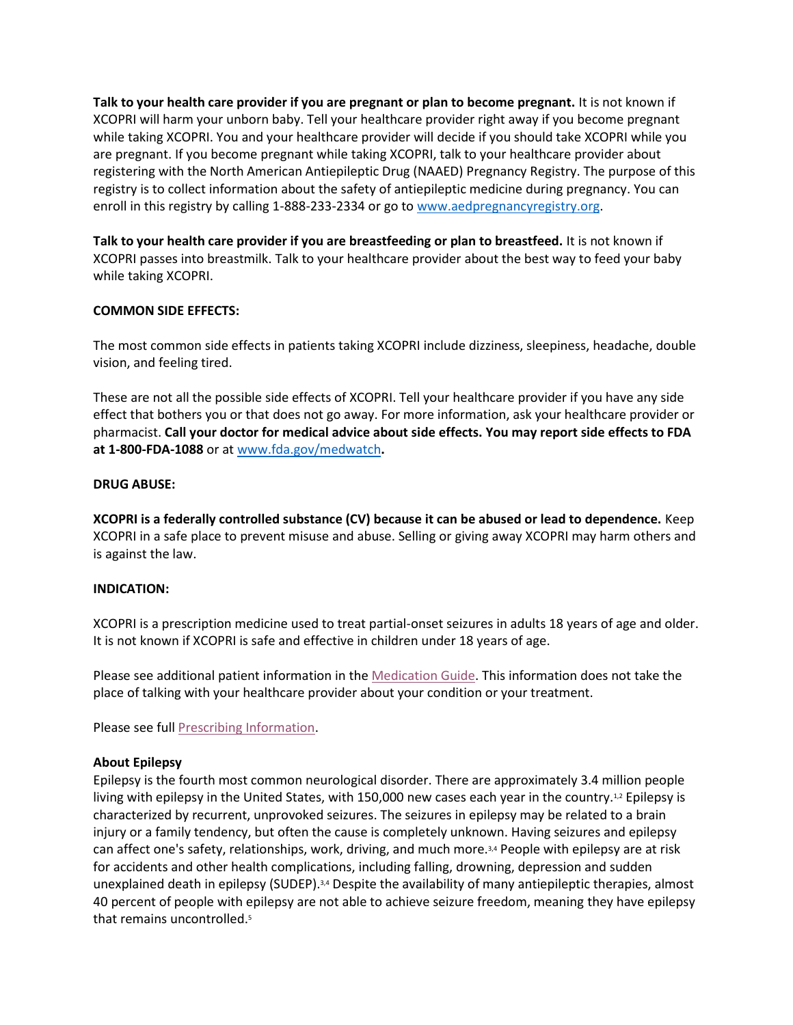**Talk to your health care provider if you are pregnant or plan to become pregnant.** It is not known if XCOPRI will harm your unborn baby. Tell your healthcare provider right away if you become pregnant while taking XCOPRI. You and your healthcare provider will decide if you should take XCOPRI while you are pregnant. If you become pregnant while taking XCOPRI, talk to your healthcare provider about registering with the North American Antiepileptic Drug (NAAED) Pregnancy Registry. The purpose of this registry is to collect information about the safety of antiepileptic medicine during pregnancy. You can enroll in this registry by calling 1-888-233-2334 or go to [www.aedpregnancyregistry.org.](https://c212.net/c/link/?t=0&l=en&o=2913906-1&h=4058501372&u=http%3A%2F%2Fwww.aedpregnancyregistry.org%2F&a=www.aedpregnancyregistry.org)

**Talk to your health care provider if you are breastfeeding or plan to breastfeed.** It is not known if XCOPRI passes into breastmilk. Talk to your healthcare provider about the best way to feed your baby while taking XCOPRI.

## **COMMON SIDE EFFECTS:**

The most common side effects in patients taking XCOPRI include dizziness, sleepiness, headache, double vision, and feeling tired.

These are not all the possible side effects of XCOPRI. Tell your healthcare provider if you have any side effect that bothers you or that does not go away. For more information, ask your healthcare provider or pharmacist. **Call your doctor for medical advice about side effects. You may report side effects to FDA at 1-800-FDA-1088** or at [www.fda.gov/medwatch](https://c212.net/c/link/?t=0&l=en&o=2913906-1&h=2986523842&u=http%3A%2F%2Fwww.fda.gov%2Fmedwatch&a=www.fda.gov%2Fmedwatch)**.** 

#### **DRUG ABUSE:**

**XCOPRI is a federally controlled substance (CV) because it can be abused or lead to dependence.** Keep XCOPRI in a safe place to prevent misuse and abuse. Selling or giving away XCOPRI may harm others and is against the law.

#### **INDICATION:**

XCOPRI is a prescription medicine used to treat partial-onset seizures in adults 18 years of age and older. It is not known if XCOPRI is safe and effective in children under 18 years of age.

Please see additional patient information in the [Medication Guide.](https://www.xcopri.com/wp-content/uploads/2020/09/SK_Med_Guide.pdf) This information does not take the place of talking with your healthcare provider about your condition or your treatment.

Please see full [Prescribing Information.](https://www.xcopri.com/wp-content/uploads/2021/05/SK_Prescribing_Information_Med_Guide_Combined.pdf)

#### **About Epilepsy**

Epilepsy is the fourth most common neurological disorder. There are approximately 3.4 million people living with epilepsy in the United States, with 150,000 new cases each year in the country.<sup>1,2</sup> Epilepsy is characterized by recurrent, unprovoked seizures. The seizures in epilepsy may be related to a brain injury or a family tendency, but often the cause is completely unknown. Having seizures and epilepsy can affect one's safety, relationships, work, driving, and much more.3,4 People with epilepsy are at risk for accidents and other health complications, including falling, drowning, depression and sudden unexplained death in epilepsy (SUDEP).<sup>3,4</sup> Despite the availability of many antiepileptic therapies, almost 40 percent of people with epilepsy are not able to achieve seizure freedom, meaning they have epilepsy that remains uncontrolled.5